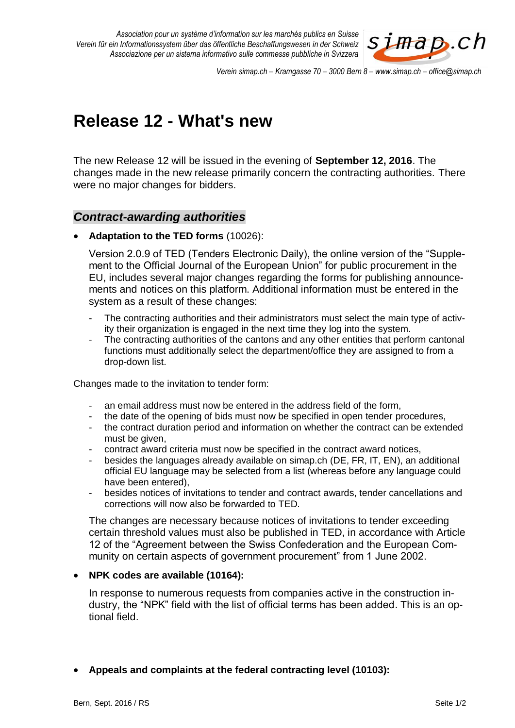*Association pour un système d'information sur les marchés publics en Suisse Verein für ein Informationssystem über das öffentliche Beschaffungswesen in der Schweiz Associazione per un sistema informativo sulle commesse pubbliche in Svizzera*



*Verein simap.ch – Kramgasse 70 – 3000 Bern 8 – www.simap.ch – office@simap.ch*

# **Release 12 - What's new**

The new Release 12 will be issued in the evening of **September 12, 2016**. The changes made in the new release primarily concern the contracting authorities. There were no major changes for bidders.

## *Contract-awarding authorities*

**Adaptation to the TED forms** (10026):

Version 2.0.9 of TED (Tenders Electronic Daily), the online version of the "Supplement to the Official Journal of the European Union" for public procurement in the EU, includes several major changes regarding the forms for publishing announcements and notices on this platform. Additional information must be entered in the system as a result of these changes:

- The contracting authorities and their administrators must select the main type of activity their organization is engaged in the next time they log into the system.
- The contracting authorities of the cantons and any other entities that perform cantonal functions must additionally select the department/office they are assigned to from a drop-down list.

Changes made to the invitation to tender form:

- an email address must now be entered in the address field of the form,
- the date of the opening of bids must now be specified in open tender procedures,
- the contract duration period and information on whether the contract can be extended must be given.
- contract award criteria must now be specified in the contract award notices,
- besides the languages already available on simap.ch (DE, FR, IT, EN), an additional official EU language may be selected from a list (whereas before any language could have been entered),
- besides notices of invitations to tender and contract awards, tender cancellations and corrections will now also be forwarded to TED.

The changes are necessary because notices of invitations to tender exceeding certain threshold values must also be published in TED, in accordance with Article 12 of the "Agreement between the Swiss Confederation and the European Community on certain aspects of government procurement" from 1 June 2002.

#### **NPK codes are available (10164):**

In response to numerous requests from companies active in the construction industry, the "NPK" field with the list of official terms has been added. This is an optional field.

#### **Appeals and complaints at the federal contracting level (10103):**